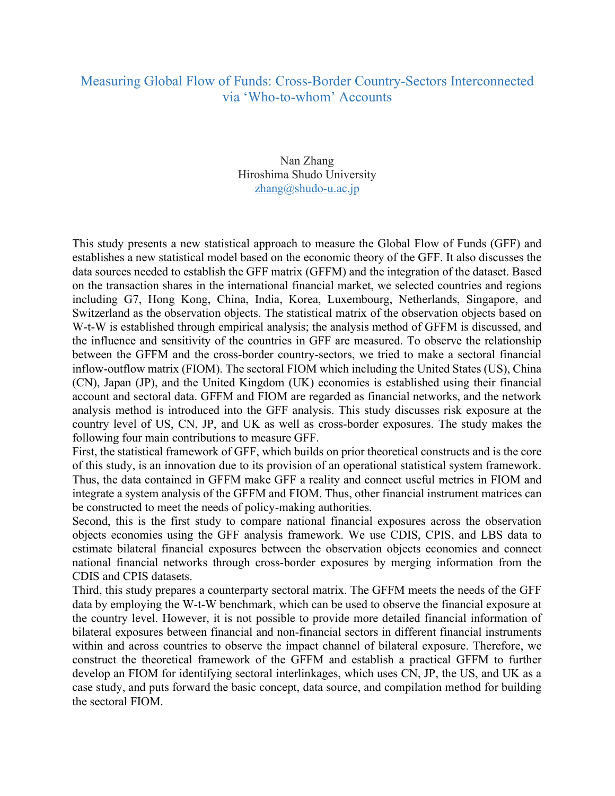## Measuring Global Flow of Funds: Cross-Border Country-Sectors Interconnected via 'Who-to-whom' Accounts

Nan Zhang Hiroshima Shudo University zhang@shudo-u.ac.jp

This study presents a new statistical approach to measure the Global Flow of Funds (GFF) and establishes a new statistical model based on the economic theory of the GFF. It also discusses the data sources needed to establish the GFF matrix (GFFM) and the integration of the dataset. Based on the transaction shares in the international financial market, we selected countries and regions including G7, Hong Kong, China, India, Korea, Luxembourg, Netherlands, Singapore, and Switzerland as the observation objects. The statistical matrix of the observation objects based on W-t-W is established through empirical analysis; the analysis method of GFFM is discussed, and the influence and sensitivity of the countries in GFF are measured. To observe the relationship between the GFFM and the cross-border country-sectors, we tried to make a sectoral financial inflow-outflow matrix (FIOM). The sectoral FIOM which including the United States (US), China (CN), Japan (JP), and the United Kingdom (UK) economies is established using their financial account and sectoral data. GFFM and FIOM are regarded as financial networks, and the network analysis method is introduced into the GFF analysis. This study discusses risk exposure at the country level of US, CN, JP, and UK as well as cross-border exposures. The study makes the following four main contributions to measure GFF.

First, the statistical framework of GFF, which builds on prior theoretical constructs and is the core of this study, is an innovation due to its provision of an operational statistical system framework. Thus, the data contained in GFFM make GFF a reality and connect useful metrics in FIOM and integrate a system analysis of the GFFM and FIOM. Thus, other financial instrument matrices can be constructed to meet the needs of policy-making authorities.

Second, this is the first study to compare national financial exposures across the observation objects economies using the GFF analysis framework. We use CDIS, CPIS, and LBS data to estimate bilateral financial exposures between the observation objects economies and connect national financial networks through cross-border exposures by merging information from the CDIS and CPIS datasets.

Third, this study prepares a counterparty sectoral matrix. The GFFM meets the needs of the GFF data by employing the W-t-W benchmark, which can be used to observe the financial exposure at the country level. However, it is not possible to provide more detailed financial information of bilateral exposures between financial and non-financial sectors in different financial instruments within and across countries to observe the impact channel of bilateral exposure. Therefore, we construct the theoretical framework of the GFFM and establish a practical GFFM to further develop an FIOM for identifying sectoral interlinkages, which uses CN, JP, the US, and UK as a case study, and puts forward the basic concept, data source, and compilation method for building the sectoral FIOM.